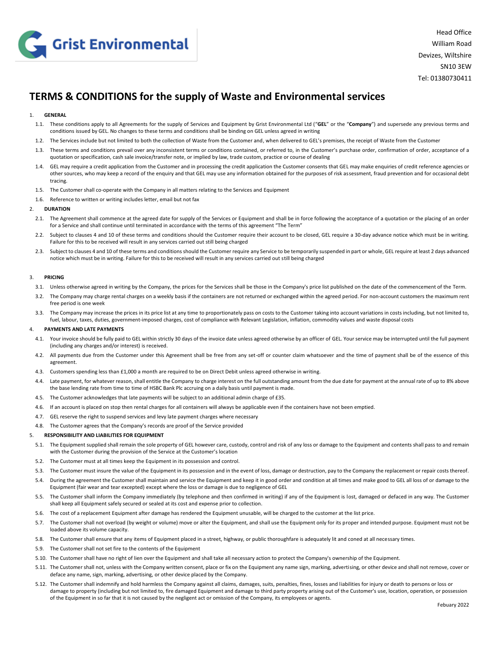

# **TERMS & CONDITIONS for the supply of Waste and Environmental services**

## 1. **GENERAL**

- 1.1. These conditions apply to all Agreements for the supply of Services and Equipment by Grist Environmental Ltd ("**GEL**" or the "**Company**") and supersede any previous terms and conditions issued by GEL. No changes to these terms and conditions shall be binding on GEL unless agreed in writing
- 1.2. The Services include but not limited to both the collection of Waste from the Customer and, when delivered to GEL's premises, the receipt of Waste from the Customer
- 1.3. These terms and conditions prevail over any inconsistent terms or conditions contained, or referred to, in the Customer's purchase order, confirmation of order, acceptance of a quotation or specification, cash sale invoice/transfer note, or implied by law, trade custom, practice or course of dealing
- 1.4. GEL may require a credit application from the Customer and in processing the credit application the Customer consents that GEL may make enquiries of credit reference agencies or other sources, who may keep a record of the enquiry and that GEL may use any information obtained for the purposes of risk assessment, fraud prevention and for occasional debt tracing.
- 1.5. The Customer shall co-operate with the Company in all matters relating to the Services and Equipment
- 1.6. Reference to written or writing includes letter, email but not fax

#### 2. **DURATION**

- 2.1. The Agreement shall commence at the agreed date for supply of the Services or Equipment and shall be in force following the acceptance of a quotation or the placing of an order for a Service and shall continue until terminated in accordance with the terms of this agreement "The Term"
- 2.2. Subject to clauses 4 and 10 of these terms and conditions should the Customer require their account to be closed, GEL require a 30-day advance notice which must be in writing. Failure for this to be received will result in any services carried out still being charged
- 2.3. Subject to clauses 4 and 10 of these terms and conditions should the Customer require any Service to be temporarily suspended in part or whole, GEL require at least 2 days advanced notice which must be in writing. Failure for this to be received will result in any services carried out still being charged

## 3. **PRICING**

- 3.1. Unless otherwise agreed in writing by the Company, the prices for the Services shall be those in the Company's price list published on the date of the commencement of the Term.
- 3.2. The Company may charge rental charges on a weekly basis if the containers are not returned or exchanged within the agreed period. For non-account customers the maximum rent free period is one week
- 3.3. The Company may increase the prices in its price list at any time to proportionately pass on costs to the Customer taking into account variations in costs including, but not limited to, fuel, labour, taxes, duties, government-imposed charges, cost of compliance with Relevant Legislation, inflation, commodity values and waste disposal costs

#### 4. **PAYMENTS AND LATE PAYMENTS**

- 4.1. Your invoice should be fully paid to GEL within strictly 30 days of the invoice date unless agreed otherwise by an officer of GEL. Your service may be interrupted until the full payment (including any charges and/or interest) is received.
- 4.2. All payments due from the Customer under this Agreement shall be free from any set-off or counter claim whatsoever and the time of payment shall be of the essence of this agreement.
- 4.3. Customers spending less than £1,000 a month are required to be on Direct Debit unless agreed otherwise in writing.
- 4.4. Late payment, for whatever reason, shall entitle the Company to charge interest on the full outstanding amount from the due date for payment at the annual rate of up to 8% above the base lending rate from time to time of HSBC Bank Plc accruing on a daily basis until payment is made.
- 4.5. The Customer acknowledges that late payments will be subject to an additional admin charge of £35.
- 4.6. If an account is placed on stop then rental charges for all containers will always be applicable even if the containers have not been emptied.
- 4.7. GEL reserve the right to suspend services and levy late payment charges where necessary
- 4.8. The Customer agrees that the Company's records are proof of the Service provided

## 5. **RESPONSIBILITY AND LIABILITIES FOR EQUIPMENT**

- 5.1. The Equipment supplied shall remain the sole property of GEL however care, custody, control and risk of any loss or damage to the Equipment and contents shall pass to and remain with the Customer during the provision of the Service at the Customer's location
- 5.2. The Customer must at all times keep the Equipment in its possession and control.
- 5.3. The Customer must insure the value of the Equipment in its possession and in the event of loss, damage or destruction, pay to the Company the replacement or repair costs thereof.
- 5.4. During the agreement the Customer shall maintain and service the Equipment and keep it in good order and condition at all times and make good to GEL all loss of or damage to the Equipment (fair wear and tear excepted) except where the loss or damage is due to negligence of GEL
- 5.5. The Customer shall inform the Company immediately (by telephone and then confirmed in writing) if any of the Equipment is lost, damaged or defaced in any way. The Customer shall keep all Equipment safely secured or sealed at its cost and expense prior to collection.
- 5.6. The cost of a replacement Equipment after damage has rendered the Equipment unusable, will be charged to the customer at the list price.
- 5.7. The Customer shall not overload (by weight or volume) move or alter the Equipment, and shall use the Equipment only for its proper and intended purpose. Equipment must not be loaded above its volume capacity.
- 5.8. The Customer shall ensure that any items of Equipment placed in a street, highway, or public thoroughfare is adequately lit and coned at all necessary times.
- 5.9. The Customer shall not set fire to the contents of the Equipment
- 5.10. The Customer shall have no right of lien over the Equipment and shall take all necessary action to protect the Company's ownership of the Equipment.
- 5.11. The Customer shall not, unless with the Company written consent, place or fix on the Equipment any name sign, marking, advertising, or other device and shall not remove, cover or deface any name, sign, marking, advertising, or other device placed by the Company.
- 5.12. The Customer shall indemnify and hold harmless the Company against all claims, damages, suits, penalties, fines, losses and liabilities for injury or death to persons or loss or damage to property (including but not limited to, fire damaged Equipment and damage to third party property arising out of the Customer's use, location, operation, or possession of the Equipment in so far that it is not caused by the negligent act or omission of the Company, its employees or agents.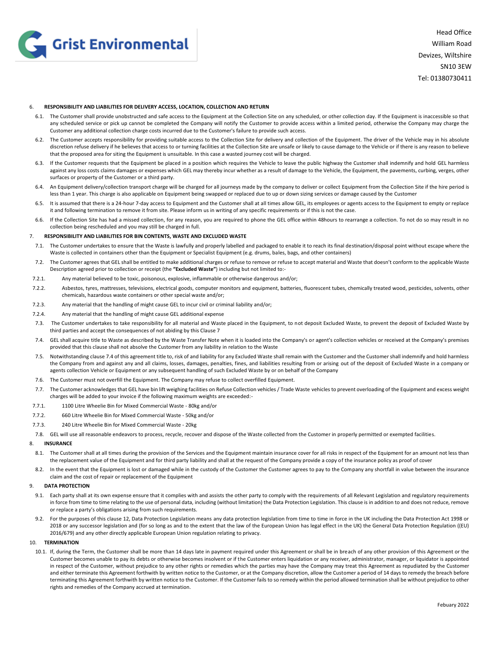

## 6. **RESPONSIBILITY AND LIABILITIES FOR DELIVERY ACCESS, LOCATION, COLLECTION AND RETURN**

- 6.1. The Customer shall provide unobstructed and safe access to the Equipment at the Collection Site on any scheduled, or other collection day. If the Equipment is inaccessible so that any scheduled service or pick up cannot be completed the Company will notify the Customer to provide access within a limited period, otherwise the Company may charge the Customer any additional collection charge costs incurred due to the Customer's failure to provide such access.
- 6.2. The Customer accepts responsibility for providing suitable access to the Collection Site for delivery and collection of the Equipment. The driver of the Vehicle may in his absolute discretion refuse delivery if he believes that access to or turning facilities at the Collection Site are unsafe or likely to cause damage to the Vehicle or if there is any reason to believe that the proposed area for siting the Equipment is unsuitable. In this case a wasted journey cost will be charged.
- 6.3. If the Customer requests that the Equipment be placed in a position which requires the Vehicle to leave the public highway the Customer shall indemnify and hold GEL harmless against any loss costs claims damages or expenses which GEL may thereby incur whether as a result of damage to the Vehicle, the Equipment, the pavements, curbing, verges, other surfaces or property of the Customer or a third party.
- 6.4. An Equipment delivery/collection transport charge will be charged for all journeys made by the company to deliver or collect Equipment from the Collection Site if the hire period is less than 1 year. This charge is also applicable on Equipment being swapped or replaced due to up or down sizing services or damage caused by the Customer
- 6.5. It is assumed that there is a 24-hour 7-day access to Equipment and the Customer shall at all times allow GEL, its employees or agents access to the Equipment to empty or replace it and following termination to remove it from site. Please inform us in writing of any specific requirements or if this is not the case.
- 6.6. If the Collection Site has had a missed collection, for any reason, you are required to phone the GEL office within 48hours to rearrange a collection. To not do so may result in no collection being rescheduled and you may still be charged in full.

#### 7. **RESPONSIBILITY AND LIABILITIES FOR BIN CONTENTS, WASTE AND EXCLUDED WASTE**

- 7.1. The Customer undertakes to ensure that the Waste is lawfully and properly labelled and packaged to enable it to reach its final destination/disposal point without escape where the Waste is collected in containers other than the Equipment or Specialist Equipment (e.g. drums, bales, bags, and other containers)
- 7.2. The Customer agrees that GEL shall be entitled to make additional charges or refuse to remove or refuse to accept material and Waste that doesn't conform to the applicable Waste Description agreed prior to collection or receipt (the **"Excluded Waste"**) including but not limited to:-
- 7.2.1. Any material believed to be toxic, poisonous, explosive, inflammable or otherwise dangerous and/or;
- 7.2.2. Asbestos, tyres, mattresses, televisions, electrical goods, computer monitors and equipment, batteries, fluorescent tubes, chemically treated wood, pesticides, solvents, other chemicals, hazardous waste containers or other special waste and/or;
- 7.2.3. Any material that the handling of might cause GEL to incur civil or criminal liability and/or;
- 7.2.4. Any material that the handling of might cause GEL additional expense
- 7.3. The Customer undertakes to take responsibility for all material and Waste placed in the Equipment, to not deposit Excluded Waste, to prevent the deposit of Excluded Waste by third parties and accept the consequences of not abiding by this Clause 7
- 7.4. GEL shall acquire title to Waste as described by the Waste Transfer Note when it is loaded into the Company's or agent's collection vehicles or received at the Company's premises provided that this clause shall not absolve the Customer from any liability in relation to the Waste
- 7.5. Notwithstanding clause 7.4 of this agreement title to, risk of and liability for any Excluded Waste shall remain with the Customer and the Customer shall indemnify and hold harmless the Company from and against any and all claims, losses, damages, penalties, fines, and liabilities resulting from or arising out of the deposit of Excluded Waste in a company or agents collection Vehicle or Equipment or any subsequent handling of such Excluded Waste by or on behalf of the Company
- 7.6. The Customer must not overfill the Equipment. The Company may refuse to collect overfilled Equipment.
- 7.7. The Customer acknowledges that GEL have bin lift weighing facilities on Refuse Collection vehicles / Trade Waste vehicles to prevent overloading of the Equipment and excess weight charges will be added to your invoice if the following maximum weights are exceeded:-
- 7.7.1. 1100 Litre Wheelie Bin for Mixed Commercial Waste 80kg and/or
- 7.7.2. 660 Litre Wheelie Bin for Mixed Commercial Waste 50kg and/or
- 7.7.3. 240 Litre Wheelie Bin for Mixed Commercial Waste 20kg
- 7.8. GEL will use all reasonable endeavors to process, recycle, recover and dispose of the Waste collected from the Customer in properly permitted or exempted facilities.

# 8. **INSURANCE**

- 8.1. The Customer shall at all times during the provision of the Services and the Equipment maintain insurance cover for all risks in respect of the Equipment for an amount not less than the replacement value of the Equipment and for third party liability and shall at the request of the Company provide a copy of the insurance policy as proof of cover
- 8.2. In the event that the Equipment is lost or damaged while in the custody of the Customer the Customer agrees to pay to the Company any shortfall in value between the insurance claim and the cost of repair or replacement of the Equipment

## 9. **DATA PROTECTION**

- 9.1. Each party shall at its own expense ensure that it complies with and assists the other party to comply with the requirements of all Relevant Legislation and regulatory requirements in force from time to time relating to the use of personal data, including (without limitation) the Data Protection Legislation. This clause is in addition to and does not reduce, remove or replace a party's obligations arising from such requirements.
- 9.2. For the purposes of this clause 12, Data Protection Legislation means any data protection legislation from time to time in force in the UK including the Data Protection Act 1998 or 2018 or any successor legislation and (for so long as and to the extent that the law of the European Union has legal effect in the UK) the General Data Protection Regulation ((EU) 2016/679) and any other directly applicable European Union regulation relating to privacy.

# 10. **TERMINATION**

10.1. If, during the Term, the Customer shall be more than 14 days late in payment required under this Agreement or shall be in breach of any other provision of this Agreement or the Customer becomes unable to pay its debts or otherwise becomes insolvent or if the Customer enters liquidation or any receiver, administrator, manager, or liquidator is appointed in respect of the Customer, without prejudice to any other rights or remedies which the parties may have the Company may treat this Agreement as repudiated by the Customer and either terminate this Agreement forthwith by written notice to the Customer, or at the Company discretion, allow the Customer a period of 14 days to remedy the breach before terminating this Agreement forthwith by written notice to the Customer. If the Customer fails to so remedy within the period allowed termination shall be without prejudice to other rights and remedies of the Company accrued at termination.